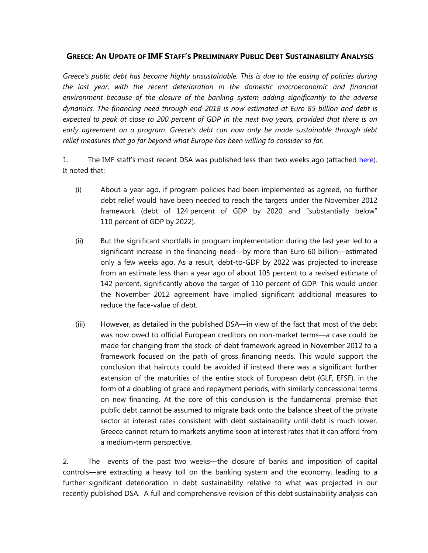## **GREECE: AN UPDATE OF IMF STAFF'S PRELIMINARY PUBLIC DEBT SUSTAINABILITY ANALYSIS**

*Greece's public debt has become highly unsustainable. This is due to the easing of policies during the last year, with the recent deterioration in the domestic macroeconomic and financial environment because of the closure of the banking system adding significantly to the adverse dynamics. The financing need through end-2018 is now estimated at Euro 85 billion and debt is expected to peak at close to 200 percent of GDP in the next two years, provided that there is an early agreement on a program. Greece's debt can now only be made sustainable through debt*  relief measures that go far beyond what Europe has been willing to consider so far.

1. The IMF staff's most recent DSA was published less than two weeks ago (attached [here\)](http://www.imf.org/external/pubs/ft/scr/2015/cr15165.pdf). It noted that:

- (i) About a year ago, if program policies had been implemented as agreed, no further debt relief would have been needed to reach the targets under the November 2012 framework (debt of 124 percent of GDP by 2020 and "substantially below" 110 percent of GDP by 2022).
- (ii) But the significant shortfalls in program implementation during the last year led to a significant increase in the financing need—by more than Euro 60 billion—estimated only a few weeks ago. As a result, debt-to-GDP by 2022 was projected to increase from an estimate less than a year ago of about 105 percent to a revised estimate of 142 percent, significantly above the target of 110 percent of GDP. This would under the November 2012 agreement have implied significant additional measures to reduce the face-value of debt.
- (iii) However, as detailed in the published DSA—in view of the fact that most of the debt was now owed to official European creditors on non-market terms—a case could be made for changing from the stock-of-debt framework agreed in November 2012 to a framework focused on the path of gross financing needs. This would support the conclusion that haircuts could be avoided if instead there was a significant further extension of the maturities of the entire stock of European debt (GLF, EFSF), in the form of a doubling of grace and repayment periods, with similarly concessional terms on new financing. At the core of this conclusion is the fundamental premise that public debt cannot be assumed to migrate back onto the balance sheet of the private sector at interest rates consistent with debt sustainability until debt is much lower. Greece cannot return to markets anytime soon at interest rates that it can afford from a medium-term perspective.

2. The events of the past two weeks—the closure of banks and imposition of capital controls—are extracting a heavy toll on the banking system and the economy, leading to a further significant deterioration in debt sustainability relative to what was projected in our recently published DSA. A full and comprehensive revision of this debt sustainability analysis can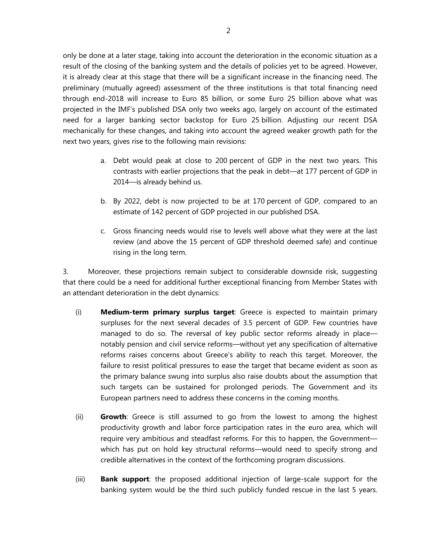only be done at a later stage, taking into account the deterioration in the economic situation as a result of the closing of the banking system and the details of policies yet to be agreed. However, it is already clear at this stage that there will be a significant increase in the financing need. The preliminary (mutually agreed) assessment of the three institutions is that total financing need through end-2018 will increase to Euro 85 billion, or some Euro 25 billion above what was projected in the IMF's published DSA only two weeks ago, largely on account of the estimated need for a larger banking sector backstop for Euro 25 billion. Adjusting our recent DSA mechanically for these changes, and taking into account the agreed weaker growth path for the next two years, gives rise to the following main revisions:

- a. Debt would peak at close to 200 percent of GDP in the next two years. This contrasts with earlier projections that the peak in debt—at 177 percent of GDP in 2014—is already behind us.
- b. By 2022, debt is now projected to be at 170 percent of GDP, compared to an estimate of 142 percent of GDP projected in our published DSA.
- c. Gross financing needs would rise to levels well above what they were at the last review (and above the 15 percent of GDP threshold deemed safe) and continue rising in the long term.

3. Moreover, these projections remain subject to considerable downside risk, suggesting that there could be a need for additional further exceptional financing from Member States with an attendant deterioration in the debt dynamics:

- (i) **Medium-term primary surplus target**: Greece is expected to maintain primary surpluses for the next several decades of 3.5 percent of GDP. Few countries have managed to do so. The reversal of key public sector reforms already in place notably pension and civil service reforms—without yet any specification of alternative reforms raises concerns about Greece's ability to reach this target. Moreover, the failure to resist political pressures to ease the target that became evident as soon as the primary balance swung into surplus also raise doubts about the assumption that such targets can be sustained for prolonged periods. The Government and its European partners need to address these concerns in the coming months.
- (ii) **Growth**: Greece is still assumed to go from the lowest to among the highest productivity growth and labor force participation rates in the euro area, which will require very ambitious and steadfast reforms. For this to happen, the Government which has put on hold key structural reforms—would need to specify strong and credible alternatives in the context of the forthcoming program discussions.
- (iii) **Bank support**: the proposed additional injection of large-scale support for the banking system would be the third such publicly funded rescue in the last 5 years.